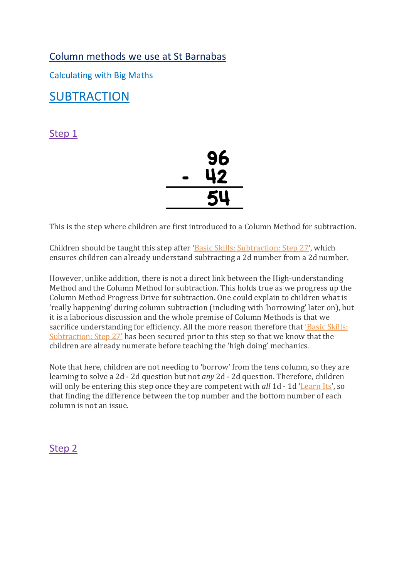Column methods we use at St Barnabas

Calculating with Big Maths

**SUBTRACTION** 

Step 1



This is the step where children are first introduced to a Column Method for subtraction.

Children should be taught this step after '[Basic Skills: Subtraction: Step 27](https://app.bigmaths.com/framework/skills-step/216)', which ensures children can already understand subtracting a 2d number from a 2d number.

However, unlike addition, there is not a direct link between the High-understanding Method and the Column Method for subtraction. This holds true as we progress up the Column Method Progress Drive for subtraction. One could explain to children what is 'really happening' during column subtraction (including with 'borrowing' later on), but it is a laborious discussion and the whole premise of Column Methods is that we sacrifice understanding for efficiency. All the more reason therefore that ['Basic Skills:](https://app.bigmaths.com/framework/skills-step/216)  S[ubtraction: Step 27'](https://app.bigmaths.com/framework/skills-step/216) has been secured prior to this step so that we know that the children are already numerate before teaching the 'high doing' mechanics.

Note that here, children are not needing to 'borrow' from the tens column, so they are learning to solve a 2d - 2d question but not *any* 2d - 2d question. Therefore, children will only be entering this step once they are competent with *all* 1d - 1d '[Learn Its](https://app.bigmaths.com/framework/progress-drive/11)', so that finding the difference between the top number and the bottom number of each column is not an issue.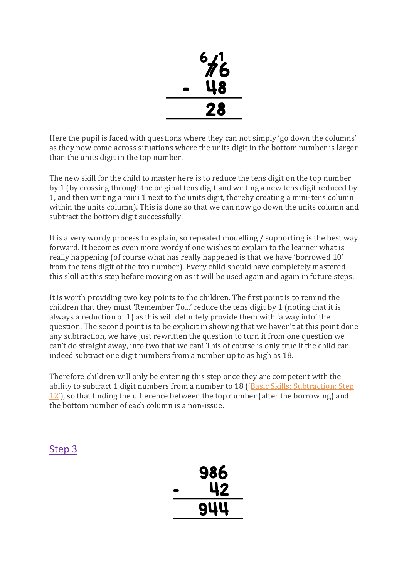

Here the pupil is faced with questions where they can not simply 'go down the columns' as they now come across situations where the units digit in the bottom number is larger than the units digit in the top number.

The new skill for the child to master here is to reduce the tens digit on the top number by 1 (by crossing through the original tens digit and writing a new tens digit reduced by 1, and then writing a mini 1 next to the units digit, thereby creating a mini-tens column within the units column). This is done so that we can now go down the units column and subtract the bottom digit successfully!

It is a very wordy process to explain, so repeated modelling / supporting is the best way forward. It becomes even more wordy if one wishes to explain to the learner what is really happening (of course what has really happened is that we have 'borrowed 10' from the tens digit of the top number). Every child should have completely mastered this skill at this step before moving on as it will be used again and again in future steps.

It is worth providing two key points to the children. The first point is to remind the children that they must 'Remember To...' reduce the tens digit by 1 (noting that it is always a reduction of 1) as this will definitely provide them with 'a way into' the question. The second point is to be explicit in showing that we haven't at this point done any subtraction, we have just rewritten the question to turn it from one question we can't do straight away, into two that we can! This of course is only true if the child can indeed subtract one digit numbers from a number up to as high as 18.

Therefore children will only be entering this step once they are competent with the ability to subtract 1 digit numbers from a number to 18 ('[Basic Skills: Subtraction: Step](https://app.bigmaths.com/framework/skills-step/201)  [12](https://app.bigmaths.com/framework/skills-step/201)'), so that finding the difference between the top number (after the borrowing) and the bottom number of each column is a non-issue.

| 986<br>42 |
|-----------|
| 944       |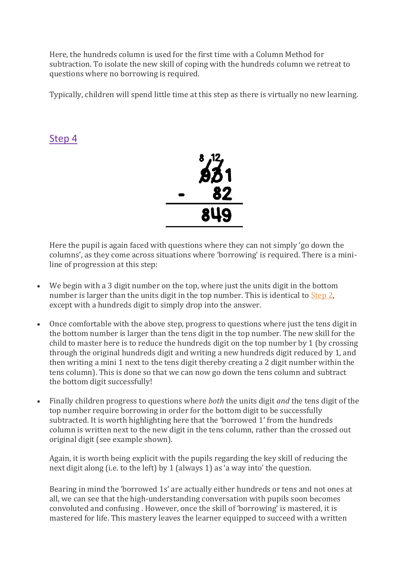Here, the hundreds column is used for the first time with a Column Method for subtraction. To isolate the new skill of coping with the hundreds column we retreat to questions where no borrowing is required.

Typically, children will spend little time at this step as there is virtually no new learning.

### Step 4



Here the pupil is again faced with questions where they can not simply 'go down the columns', as they come across situations where 'borrowing' is required. There is a miniline of progression at this step:

- We begin with a 3 digit number on the top, where just the units digit in the bottom number is larger than the units digit in the top number. This is identical to [Step 2,](https://app.bigmaths.com/framework/skills-step/294) except with a hundreds digit to simply drop into the answer.
- Once comfortable with the above step, progress to questions where just the tens digit in the bottom number is larger than the tens digit in the top number. The new skill for the child to master here is to reduce the hundreds digit on the top number by 1 (by crossing through the original hundreds digit and writing a new hundreds digit reduced by 1, and then writing a mini 1 next to the tens digit thereby creating a 2 digit number within the tens column). This is done so that we can now go down the tens column and subtract the bottom digit successfully!
- Finally children progress to questions where *both* the units digit *and* the tens digit of the top number require borrowing in order for the bottom digit to be successfully subtracted. It is worth highlighting here that the 'borrowed 1' from the hundreds column is written next to the new digit in the tens column, rather than the crossed out original digit (see example shown).

Again, it is worth being explicit with the pupils regarding the key skill of reducing the next digit along (i.e. to the left) by 1 (always 1) as 'a way into' the question.

Bearing in mind the 'borrowed 1s' are actually either hundreds or tens and not ones at all, we can see that the high-understanding conversation with pupils soon becomes convoluted and confusing . However, once the skill of 'borrowing' is mastered, it is mastered for life. This mastery leaves the learner equipped to succeed with a written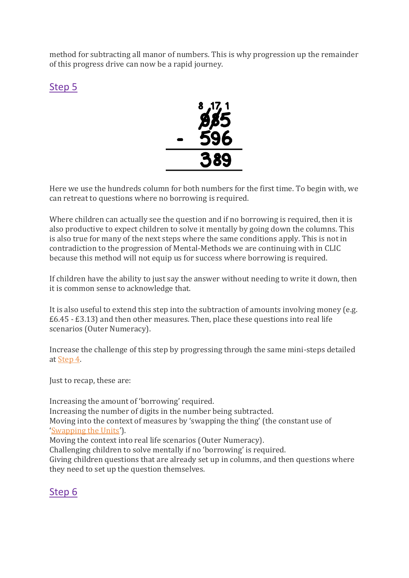method for subtracting all manor of numbers. This is why progression up the remainder of this progress drive can now be a rapid journey.

## Step 5



Here we use the hundreds column for both numbers for the first time. To begin with, we can retreat to questions where no borrowing is required.

Where children can actually see the question and if no borrowing is required, then it is also productive to expect children to solve it mentally by going down the columns. This is also true for many of the next steps where the same conditions apply. This is not in contradiction to the progression of Mental-Methods we are continuing with in CLIC because this method will not equip us for success where borrowing is required.

If children have the ability to just say the answer without needing to write it down, then it is common sense to acknowledge that.

It is also useful to extend this step into the subtraction of amounts involving money (e.g. £6.45 - £3.13) and then other measures. Then, place these questions into real life scenarios (Outer Numeracy).

Increase the challenge of this step by progressing through the same mini-steps detailed at [Step 4.](https://app.bigmaths.com/framework/skills-step/296)

Just to recap, these are:

Increasing the amount of 'borrowing' required. Increasing the number of digits in the number being subtracted. Moving into the context of measures by 'swapping the thing' (the constant use of '[Swapping the Units](https://app.bigmaths.com/framework/progress-drive/12)'). Moving the context into real life scenarios (Outer Numeracy). Challenging children to solve mentally if no 'borrowing' is required. Giving children questions that are already set up in columns, and then questions where they need to set up the question themselves.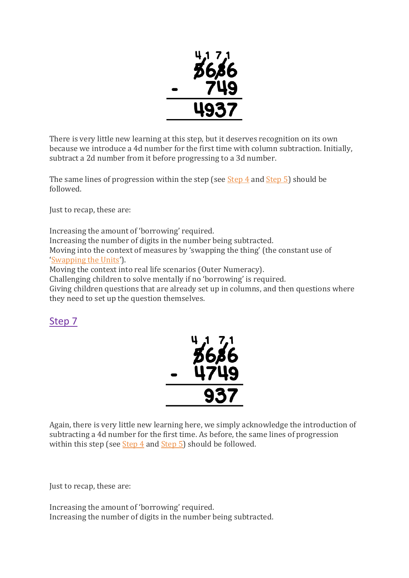

There is very little new learning at this step, but it deserves recognition on its own because we introduce a 4d number for the first time with column subtraction. Initially, subtract a 2d number from it before progressing to a 3d number.

The same lines of progression within the step (see  $Step 4$  and  $Step 5$ ) should be followed.

Just to recap, these are:

Increasing the amount of 'borrowing' required. Increasing the number of digits in the number being subtracted. Moving into the context of measures by 'swapping the thing' (the constant use of '[Swapping the Units](https://app.bigmaths.com/framework/progress-drive/129)').

Moving the context into real life scenarios (Outer Numeracy).

Challenging children to solve mentally if no 'borrowing' is required.

Giving children questions that are already set up in columns, and then questions where they need to set up the question themselves.

### Step 7



Again, there is very little new learning here, we simply acknowledge the introduction of subtracting a 4d number for the first time. As before, the same lines of progression within this step (see [Step 4](https://app.bigmaths.com/framework/skills-step/296) and [Step 5\)](https://app.bigmaths.com/framework/skills-step/297) should be followed.

Just to recap, these are:

Increasing the amount of 'borrowing' required. Increasing the number of digits in the number being subtracted.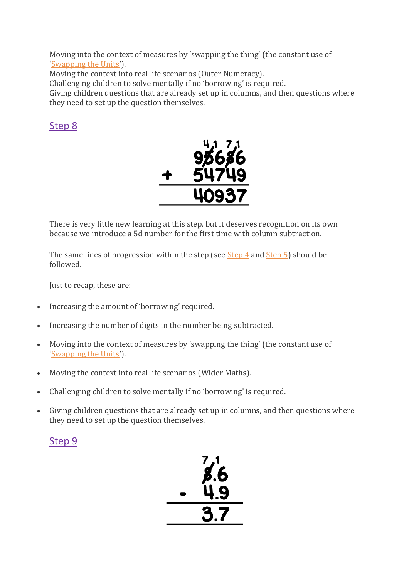Moving into the context of measures by 'swapping the thing' (the constant use of '[Swapping the Units](https://app.bigmaths.com/framework/progress-drive/12)').

Moving the context into real life scenarios (Outer Numeracy).

Challenging children to solve mentally if no 'borrowing' is required.

Giving children questions that are already set up in columns, and then questions where they need to set up the question themselves.

## Step 8



There is very little new learning at this step, but it deserves recognition on its own because we introduce a 5d number for the first time with column subtraction.

The same lines of progression within the step (see [Step 4](https://app.bigmaths.com/framework/skills-step/296) and [Step 5\)](https://app.bigmaths.com/framework/skills-step/297) should be followed.

Just to recap, these are:

- Increasing the amount of 'borrowing' required.
- Increasing the number of digits in the number being subtracted.
- Moving into the context of measures by 'swapping the thing' (the constant use of '[Swapping the Units](https://app.bigmaths.com/framework/progress-drive/12)').
- Moving the context into real life scenarios (Wider Maths).
- Challenging children to solve mentally if no 'borrowing' is required.
- Giving children questions that are already set up in columns, and then questions where they need to set up the question themselves.

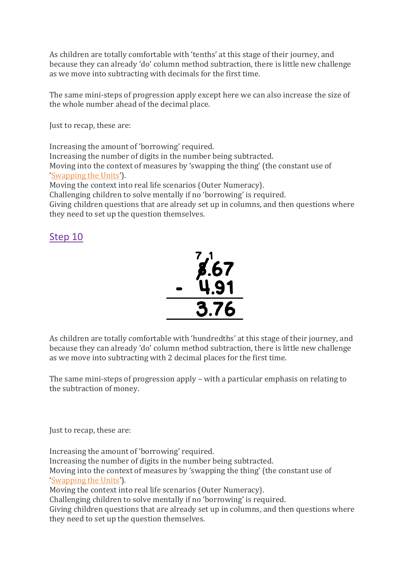As children are totally comfortable with 'tenths' at this stage of their journey, and because they can already 'do' column method subtraction, there is little new challenge as we move into subtracting with decimals for the first time.

The same mini-steps of progression apply except here we can also increase the size of the whole number ahead of the decimal place.

Just to recap, these are:

Increasing the amount of 'borrowing' required. Increasing the number of digits in the number being subtracted. Moving into the context of measures by 'swapping the thing' (the constant use of '[Swapping the Units](https://app.bigmaths.com/framework/progress-drive/12)'). Moving the context into real life scenarios (Outer Numeracy). Challenging children to solve mentally if no 'borrowing' is required. Giving children questions that are already set up in columns, and then questions where they need to set up the question themselves.

### Step 10



As children are totally comfortable with 'hundredths' at this stage of their journey, and because they can already 'do' column method subtraction, there is little new challenge as we move into subtracting with 2 decimal places for the first time.

The same mini-steps of progression apply – with a particular emphasis on relating to the subtraction of money.

Just to recap, these are:

Increasing the amount of 'borrowing' required. Increasing the number of digits in the number being subtracted. Moving into the context of measures by 'swapping the thing' (the constant use of '[Swapping the Units](https://app.bigmaths.com/framework/progress-drive/12)'). Moving the context into real life scenarios (Outer Numeracy). Challenging children to solve mentally if no 'borrowing' is required. Giving children questions that are already set up in columns, and then questions where

they need to set up the question themselves.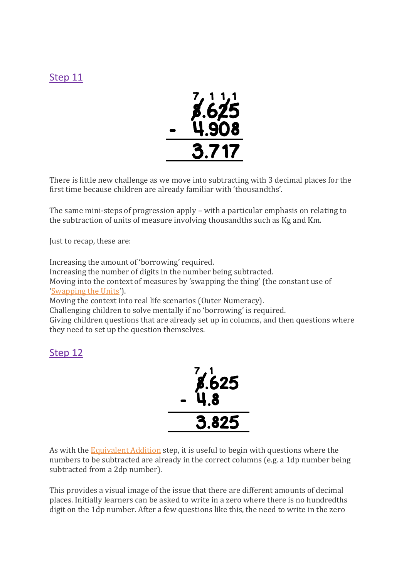## Step 11



There is little new challenge as we move into subtracting with 3 decimal places for the first time because children are already familiar with 'thousandths'.

The same mini-steps of progression apply – with a particular emphasis on relating to the subtraction of units of measure involving thousandths such as Kg and Km.

Just to recap, these are:

Increasing the amount of 'borrowing' required.

Increasing the number of digits in the number being subtracted.

Moving into the context of measures by 'swapping the thing' (the constant use of '[Swapping the Units](https://app.bigmaths.com/framework/progress-drive/12)').

Moving the context into real life scenarios (Outer Numeracy).

Challenging children to solve mentally if no 'borrowing' is required.

Giving children questions that are already set up in columns, and then questions where they need to set up the question themselves.

### Step 12



As with the [Equivalent Addition](https://app.bigmaths.com/framework/skills-step/162) step, it is useful to begin with questions where the numbers to be subtracted are already in the correct columns (e.g. a 1dp number being subtracted from a 2dp number).

This provides a visual image of the issue that there are different amounts of decimal places. Initially learners can be asked to write in a zero where there is no hundredths digit on the 1dp number. After a few questions like this, the need to write in the zero